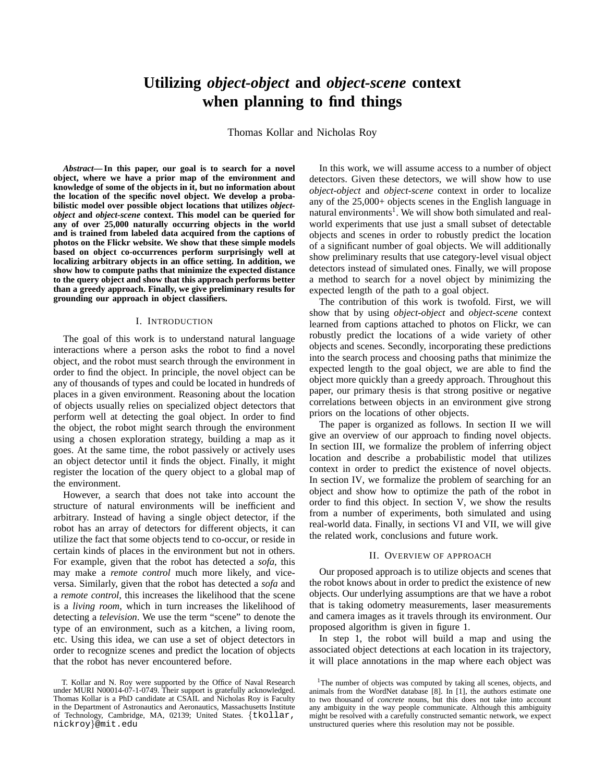# **Utilizing** *object-object* **and** *object-scene* **context when planning to find things**

Thomas Kollar and Nicholas Roy

*Abstract***— In this paper, our goal is to search for a novel object, where we have a prior map of the environment and knowledge of some of the objects in it, but no information about the location of the specific novel object. We develop a probabilistic model over possible object locations that utilizes** *objectobject* **and** *object-scene* **context. This model can be queried for any of over 25,000 naturally occurring objects in the world and is trained from labeled data acquired from the captions of photos on the Flickr website. We show that these simple models based on object co-occurrences perform surprisingly well at localizing arbitrary objects in an office setting. In addition, we show how to compute paths that minimize the expected distance to the query object and show that this approach performs better than a greedy approach. Finally, we give preliminary results for grounding our approach in object classifiers.**

# I. INTRODUCTION

The goal of this work is to understand natural language interactions where a person asks the robot to find a novel object, and the robot must search through the environment in order to find the object. In principle, the novel object can be any of thousands of types and could be located in hundreds of places in a given environment. Reasoning about the location of objects usually relies on specialized object detectors that perform well at detecting the goal object. In order to find the object, the robot might search through the environment using a chosen exploration strategy, building a map as it goes. At the same time, the robot passively or actively uses an object detector until it finds the object. Finally, it might register the location of the query object to a global map of the environment.

However, a search that does not take into account the structure of natural environments will be inefficient and arbitrary. Instead of having a single object detector, if the robot has an array of detectors for different objects, it can utilize the fact that some objects tend to co-occur, or reside in certain kinds of places in the environment but not in others. For example, given that the robot has detected a *sofa*, this may make a *remote control* much more likely, and viceversa. Similarly, given that the robot has detected a *sofa* and a *remote control*, this increases the likelihood that the scene is a *living room*, which in turn increases the likelihood of detecting a *television*. We use the term "scene" to denote the type of an environment, such as a kitchen, a living room, etc. Using this idea, we can use a set of object detectors in order to recognize scenes and predict the location of objects that the robot has never encountered before.

In this work, we will assume access to a number of object detectors. Given these detectors, we will show how to use *object-object* and *object-scene* context in order to localize any of the 25,000+ objects scenes in the English language in natural environments<sup>1</sup>. We will show both simulated and realworld experiments that use just a small subset of detectable objects and scenes in order to robustly predict the location of a significant number of goal objects. We will additionally show preliminary results that use category-level visual object detectors instead of simulated ones. Finally, we will propose a method to search for a novel object by minimizing the expected length of the path to a goal object.

The contribution of this work is twofold. First, we will show that by using *object-object* and *object-scene* context learned from captions attached to photos on Flickr, we can robustly predict the locations of a wide variety of other objects and scenes. Secondly, incorporating these predictions into the search process and choosing paths that minimize the expected length to the goal object, we are able to find the object more quickly than a greedy approach. Throughout this paper, our primary thesis is that strong positive or negative correlations between objects in an environment give strong priors on the locations of other objects.

The paper is organized as follows. In section II we will give an overview of our approach to finding novel objects. In section III, we formalize the problem of inferring object location and describe a probabilistic model that utilizes context in order to predict the existence of novel objects. In section IV, we formalize the problem of searching for an object and show how to optimize the path of the robot in order to find this object. In section V, we show the results from a number of experiments, both simulated and using real-world data. Finally, in sections VI and VII, we will give the related work, conclusions and future work.

## II. OVERVIEW OF APPROACH

Our proposed approach is to utilize objects and scenes that the robot knows about in order to predict the existence of new objects. Our underlying assumptions are that we have a robot that is taking odometry measurements, laser measurements and camera images as it travels through its environment. Our proposed algorithm is given in figure 1.

In step 1, the robot will build a map and using the associated object detections at each location in its trajectory, it will place annotations in the map where each object was

T. Kollar and N. Roy were supported by the Office of Naval Research under MURI N00014-07-1-0749. Their support is gratefully acknowledged. Thomas Kollar is a PhD candidate at CSAIL and Nicholas Roy is Faculty in the Department of Astronautics and Aeronautics, Massachusetts Institute of Technology, Cambridge, MA, 02139; United States. {tkollar, nickroy}@mit.edu

<sup>&</sup>lt;sup>1</sup>The number of objects was computed by taking all scenes, objects, and animals from the WordNet database [8]. In [1], the authors estimate one to two thousand of *concrete* nouns, but this does not take into account any ambiguity in the way people communicate. Although this ambiguity might be resolved with a carefully constructed semantic network, we expect unstructured queries where this resolution may not be possible.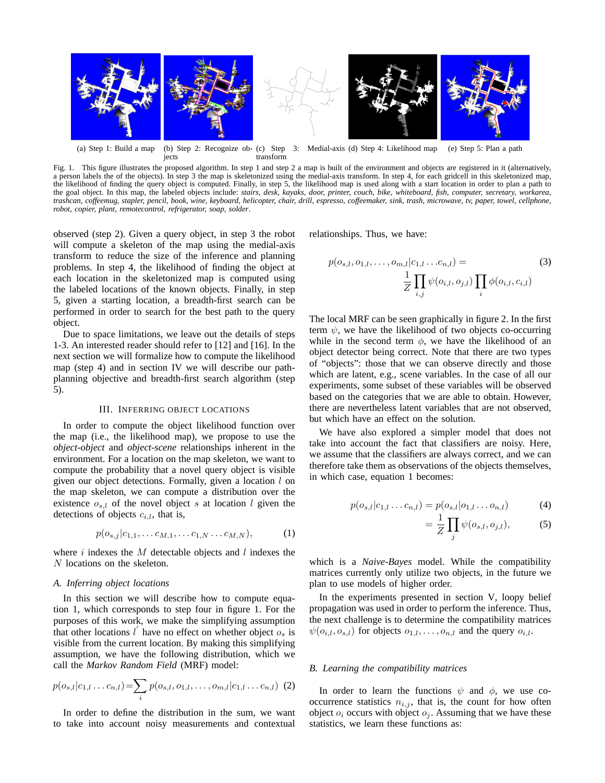

(a) Step 1: Build a map (b) Step 2: Recognize ob-(c) Step 3: Medial-axis (d) Step 4: Likelihood map (e) Step 5: Plan a path jects transform

Fig. 1. This figure illustrates the proposed algorithm. In step 1 and step 2 a map is built of the environment and objects are registered in it (alternatively, a person labels the of the objects). In step 3 the map is skeletonized using the medial-axis transform. In step 4, for each gridcell in this skeletonized map, the likelihood of finding the query object is computed. Finally, in step 5, the likelihood map is used along with a start location in order to plan a path to the goal object. In this map, the labeled objects include: *stairs, desk, kayaks, door, printer, couch, bike, whiteboard, fish, computer, secretary, workarea, trashcan, coffeemug, stapler, pencil, book, wine, keyboard, helicopter, chair, drill, espresso, coffeemaker, sink, trash, microwave, tv, paper, towel, cellphone, robot, copier, plant, remotecontrol, refrigerator, soap, solder*.

observed (step 2). Given a query object, in step 3 the robot will compute a skeleton of the map using the medial-axis transform to reduce the size of the inference and planning problems. In step 4, the likelihood of finding the object at each location in the skeletonized map is computed using the labeled locations of the known objects. Finally, in step 5, given a starting location, a breadth-first search can be performed in order to search for the best path to the query object.

Due to space limitations, we leave out the details of steps 1-3. An interested reader should refer to [12] and [16]. In the next section we will formalize how to compute the likelihood map (step 4) and in section IV we will describe our pathplanning objective and breadth-first search algorithm (step 5).

## III. INFERRING OBJECT LOCATIONS

In order to compute the object likelihood function over the map (i.e., the likelihood map), we propose to use the *object-object* and *object-scene* relationships inherent in the environment. For a location on the map skeleton, we want to compute the probability that a novel query object is visible given our object detections. Formally, given a location l on the map skeleton, we can compute a distribution over the existence  $o_{s,l}$  of the novel object s at location l given the detections of objects  $c_{i,l}$ , that is,

$$
p(o_{s,j}|c_{1,1},\ldots c_{M,1},\ldots c_{1,N}\ldots c_{M,N}),\tag{1}
$$

where  $i$  indexes the  $M$  detectable objects and  $l$  indexes the N locations on the skeleton.

#### *A. Inferring object locations*

In this section we will describe how to compute equation 1, which corresponds to step four in figure 1. For the purposes of this work, we make the simplifying assumption that other locations  $l'$  have no effect on whether object  $o_s$  is visible from the current location. By making this simplifying assumption, we have the following distribution, which we call the *Markov Random Field* (MRF) model:

$$
p(o_{s,l}|c_{1,l}\ldots c_{n,l}) = \sum_i p(o_{s,l}, o_{1,l}, \ldots, o_{m,l}|c_{1,l}\ldots c_{n,l}) \tag{2}
$$

In order to define the distribution in the sum, we want to take into account noisy measurements and contextual relationships. Thus, we have:

$$
p(o_{s,l}, o_{1,l}, \dots, o_{m,l}|c_{1,l} \dots c_{n,l}) = \frac{1}{Z} \prod_{i,j} \psi(o_{i,l}, o_{j,l}) \prod_i \phi(o_{i,l}, c_{i,l})
$$
\n(3)

The local MRF can be seen graphically in figure 2. In the first term  $\psi$ , we have the likelihood of two objects co-occurring while in the second term  $\phi$ , we have the likelihood of an object detector being correct. Note that there are two types of "objects": those that we can observe directly and those which are latent, e.g., scene variables. In the case of all our experiments, some subset of these variables will be observed based on the categories that we are able to obtain. However, there are nevertheless latent variables that are not observed, but which have an effect on the solution.

We have also explored a simpler model that does not take into account the fact that classifiers are noisy. Here, we assume that the classifiers are always correct, and we can therefore take them as observations of the objects themselves, in which case, equation 1 becomes:

$$
p(o_{s,l}|c_{1,l}\dots c_{n,l}) = p(o_{s,l}|o_{1,l}\dots o_{n,l})
$$
 (4)

$$
=\frac{1}{Z}\prod_{j}\psi(o_{s,l},o_{j,l}),\qquad(5)
$$

which is a *Naive-Bayes* model. While the compatibility matrices currently only utilize two objects, in the future we plan to use models of higher order.

In the experiments presented in section V, loopy belief propagation was used in order to perform the inference. Thus, the next challenge is to determine the compatibility matrices  $\psi(o_{i,l}, o_{s,l})$  for objects  $o_{1,l}, \ldots, o_{n,l}$  and the query  $o_{i,l}$ .

## *B. Learning the compatibility matrices*

In order to learn the functions  $\psi$  and  $\phi$ , we use cooccurrence statistics  $n_{i,j}$ , that is, the count for how often object  $o_i$  occurs with object  $o_j$ . Assuming that we have these statistics, we learn these functions as: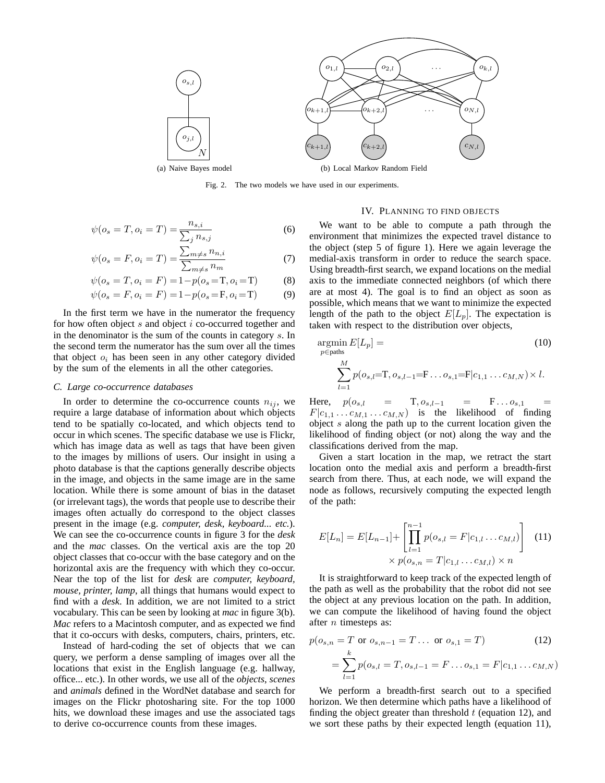

Fig. 2. The two models we have used in our experiments.

$$
\psi(o_s = T, o_i = T) = \frac{n_{s,i}}{\sum_j n_{s,j}}\tag{6}
$$

$$
\psi(o_s = F, o_i = T) = \frac{\sum_{m \neq s} n_{n,i}}{\sum_{m \neq s} n_m} \tag{7}
$$

$$
\psi(o_s = T, o_i = F) = 1 - p(o_s = T, o_i = T)
$$
\n(8)

$$
\psi(o_s = F, o_i = F) = 1 - p(o_s = F, o_i = T)
$$
\n(9)

In the first term we have in the numerator the frequency for how often object  $s$  and object  $i$  co-occurred together and in the denominator is the sum of the counts in category s. In the second term the numerator has the sum over all the times that object  $o_i$  has been seen in any other category divided by the sum of the elements in all the other categories.

#### *C. Large co-occurrence databases*

In order to determine the co-occurrence counts  $n_{ij}$ , we require a large database of information about which objects tend to be spatially co-located, and which objects tend to occur in which scenes. The specific database we use is Flickr, which has image data as well as tags that have been given to the images by millions of users. Our insight in using a photo database is that the captions generally describe objects in the image, and objects in the same image are in the same location. While there is some amount of bias in the dataset (or irrelevant tags), the words that people use to describe their images often actually do correspond to the object classes present in the image (e.g. *computer, desk, keyboard... etc.*). We can see the co-occurrence counts in figure 3 for the *desk* and the *mac* classes. On the vertical axis are the top 20 object classes that co-occur with the base category and on the horizontal axis are the frequency with which they co-occur. Near the top of the list for *desk* are *computer, keyboard, mouse, printer, lamp*, all things that humans would expect to find with a *desk*. In addition, we are not limited to a strict vocabulary. This can be seen by looking at *mac* in figure 3(b). *Mac* refers to a Macintosh computer, and as expected we find that it co-occurs with desks, computers, chairs, printers, etc.

Instead of hard-coding the set of objects that we can query, we perform a dense sampling of images over all the locations that exist in the English language (e.g. hallway, office... etc.). In other words, we use all of the *objects*, *scenes* and *animals* defined in the WordNet database and search for images on the Flickr photosharing site. For the top 1000 hits, we download these images and use the associated tags to derive co-occurrence counts from these images.

# IV. PLANNING TO FIND OBJECTS

We want to be able to compute a path through the environment that minimizes the expected travel distance to the object (step 5 of figure 1). Here we again leverage the medial-axis transform in order to reduce the search space. Using breadth-first search, we expand locations on the medial axis to the immediate connected neighbors (of which there are at most 4). The goal is to find an object as soon as possible, which means that we want to minimize the expected length of the path to the object  $E[L_p]$ . The expectation is taken with respect to the distribution over objects,

$$
\underset{p \in \text{paths}}{\text{argmin}} E[L_p] = \n\tag{10}
$$
\n
$$
\sum_{l=1}^{M} p(o_{s,l} = T, o_{s,l-1} = F \dots o_{s,1} = F|c_{1,1} \dots c_{M,N}) \times l.
$$

Here,  $p(o_{s,l} = T, o_{s,l-1} = F \dots o_{s,1}$  $F|c_{1,1} \dots c_{M,1} \dots c_{M,N}$  is the likelihood of finding object  $s$  along the path up to the current location given the likelihood of finding object (or not) along the way and the classifications derived from the map.

Given a start location in the map, we retract the start location onto the medial axis and perform a breadth-first search from there. Thus, at each node, we will expand the node as follows, recursively computing the expected length of the path:

$$
E[L_n] = E[L_{n-1}] + \left[ \prod_{l=1}^{n-1} p(o_{s,l} = F | c_{1,l} \dots c_{M,l}) \right] \quad (11)
$$

$$
\times p(o_{s,n} = T | c_{1,l} \dots c_{M,l}) \times n
$$

It is straightforward to keep track of the expected length of the path as well as the probability that the robot did not see the object at any previous location on the path. In addition, we can compute the likelihood of having found the object after *n* timesteps as:

$$
p(o_{s,n} = T \text{ or } o_{s,n-1} = T \dots \text{ or } o_{s,1} = T)
$$
 (12)

$$
= \sum_{l=1} p(o_{s,l} = T, o_{s,l-1} = F \dots o_{s,1} = F|c_{1,1} \dots c_{M,N})
$$

We perform a breadth-first search out to a specified horizon. We then determine which paths have a likelihood of finding the object greater than threshold  $t$  (equation 12), and we sort these paths by their expected length (equation 11),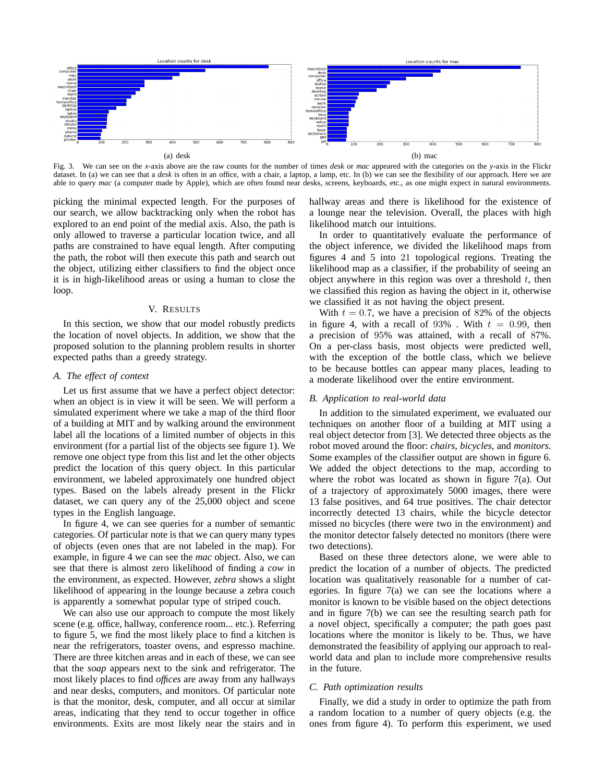

Fig. 3. We can see on the *x*-axis above are the raw counts for the number of times *desk* or *mac* appeared with the categories on the *y*-axis in the Flickr dataset. In (a) we can see that a *desk* is often in an office, with a chair, a laptop, a lamp, etc. In (b) we can see the flexibility of our approach. Here we are able to query *mac* (a computer made by Apple), which are often found near desks, screens, keyboards, etc., as one might expect in natural environments.

picking the minimal expected length. For the purposes of our search, we allow backtracking only when the robot has explored to an end point of the medial axis. Also, the path is only allowed to traverse a particular location twice, and all paths are constrained to have equal length. After computing the path, the robot will then execute this path and search out the object, utilizing either classifiers to find the object once it is in high-likelihood areas or using a human to close the loop.

## V. RESULTS

In this section, we show that our model robustly predicts the location of novel objects. In addition, we show that the proposed solution to the planning problem results in shorter expected paths than a greedy strategy.

# *A. The effect of context*

Let us first assume that we have a perfect object detector: when an object is in view it will be seen. We will perform a simulated experiment where we take a map of the third floor of a building at MIT and by walking around the environment label all the locations of a limited number of objects in this environment (for a partial list of the objects see figure 1). We remove one object type from this list and let the other objects predict the location of this query object. In this particular environment, we labeled approximately one hundred object types. Based on the labels already present in the Flickr dataset, we can query any of the 25,000 object and scene types in the English language.

In figure 4, we can see queries for a number of semantic categories. Of particular note is that we can query many types of objects (even ones that are not labeled in the map). For example, in figure 4 we can see the *mac* object. Also, we can see that there is almost zero likelihood of finding a *cow* in the environment, as expected. However, *zebra* shows a slight likelihood of appearing in the lounge because a zebra couch is apparently a somewhat popular type of striped couch.

We can also use our approach to compute the most likely scene (e.g. office, hallway, conference room... etc.). Referring to figure 5, we find the most likely place to find a kitchen is near the refrigerators, toaster ovens, and espresso machine. There are three kitchen areas and in each of these, we can see that the *soap* appears next to the sink and refrigerator. The most likely places to find *offices* are away from any hallways and near desks, computers, and monitors. Of particular note is that the monitor, desk, computer, and all occur at similar areas, indicating that they tend to occur together in office environments. Exits are most likely near the stairs and in

hallway areas and there is likelihood for the existence of a lounge near the television. Overall, the places with high likelihood match our intuitions.

In order to quantitatively evaluate the performance of the object inference, we divided the likelihood maps from figures 4 and 5 into 21 topological regions. Treating the likelihood map as a classifier, if the probability of seeing an object anywhere in this region was over a threshold  $t$ , then we classified this region as having the object in it, otherwise we classified it as not having the object present.

With  $t = 0.7$ , we have a precision of 82% of the objects in figure 4, with a recall of  $93\%$ . With  $t = 0.99$ , then a precision of 95% was attained, with a recall of 87%. On a per-class basis, most objects were predicted well, with the exception of the bottle class, which we believe to be because bottles can appear many places, leading to a moderate likelihood over the entire environment.

#### *B. Application to real-world data*

In addition to the simulated experiment, we evaluated our techniques on another floor of a building at MIT using a real object detector from [3]. We detected three objects as the robot moved around the floor: *chairs*, *bicycles*, and *monitors*. Some examples of the classifier output are shown in figure 6. We added the object detections to the map, according to where the robot was located as shown in figure  $7(a)$ . Out of a trajectory of approximately 5000 images, there were 13 false positives, and 64 true positives. The chair detector incorrectly detected 13 chairs, while the bicycle detector missed no bicycles (there were two in the environment) and the monitor detector falsely detected no monitors (there were two detections).

Based on these three detectors alone, we were able to predict the location of a number of objects. The predicted location was qualitatively reasonable for a number of categories. In figure  $7(a)$  we can see the locations where a monitor is known to be visible based on the object detections and in figure 7(b) we can see the resulting search path for a novel object, specifically a computer; the path goes past locations where the monitor is likely to be. Thus, we have demonstrated the feasibility of applying our approach to realworld data and plan to include more comprehensive results in the future.

#### *C. Path optimization results*

Finally, we did a study in order to optimize the path from a random location to a number of query objects (e.g. the ones from figure 4). To perform this experiment, we used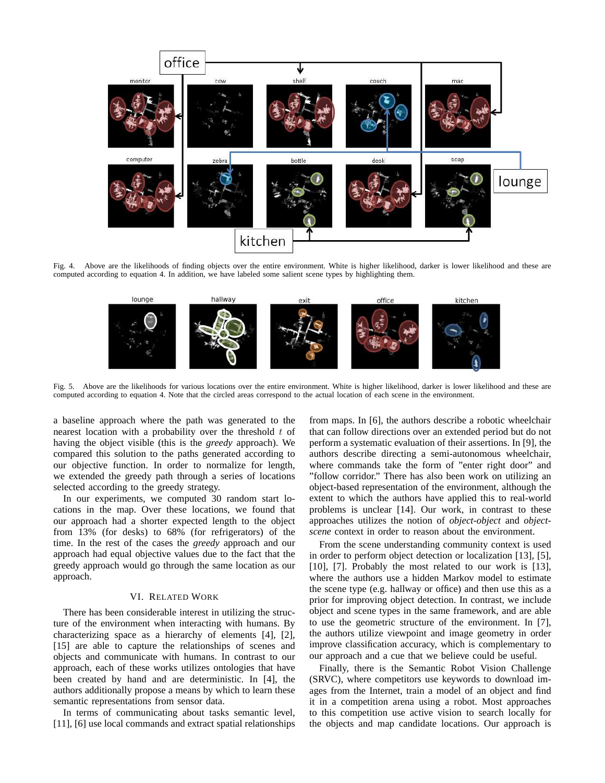

Fig. 4. Above are the likelihoods of finding objects over the entire environment. White is higher likelihood, darker is lower likelihood and these are computed according to equation 4. In addition, we have labeled some salient scene types by highlighting them.



Fig. 5. Above are the likelihoods for various locations over the entire environment. White is higher likelihood, darker is lower likelihood and these are computed according to equation 4. Note that the circled areas correspond to the actual location of each scene in the environment.

a baseline approach where the path was generated to the nearest location with a probability over the threshold  $t$  of having the object visible (this is the *greedy* approach). We compared this solution to the paths generated according to our objective function. In order to normalize for length, we extended the greedy path through a series of locations selected according to the greedy strategy.

In our experiments, we computed 30 random start locations in the map. Over these locations, we found that our approach had a shorter expected length to the object from 13% (for desks) to 68% (for refrigerators) of the time. In the rest of the cases the *greedy* approach and our approach had equal objective values due to the fact that the greedy approach would go through the same location as our approach.

# VI. RELATED WORK

There has been considerable interest in utilizing the structure of the environment when interacting with humans. By characterizing space as a hierarchy of elements [4], [2], [15] are able to capture the relationships of scenes and objects and communicate with humans. In contrast to our approach, each of these works utilizes ontologies that have been created by hand and are deterministic. In [4], the authors additionally propose a means by which to learn these semantic representations from sensor data.

In terms of communicating about tasks semantic level, [11], [6] use local commands and extract spatial relationships

from maps. In [6], the authors describe a robotic wheelchair that can follow directions over an extended period but do not perform a systematic evaluation of their assertions. In [9], the authors describe directing a semi-autonomous wheelchair, where commands take the form of "enter right door" and "follow corridor." There has also been work on utilizing an object-based representation of the environment, although the extent to which the authors have applied this to real-world problems is unclear [14]. Our work, in contrast to these approaches utilizes the notion of *object-object* and *objectscene* context in order to reason about the environment.

From the scene understanding community context is used in order to perform object detection or localization [13], [5], [10], [7]. Probably the most related to our work is [13], where the authors use a hidden Markov model to estimate the scene type (e.g. hallway or office) and then use this as a prior for improving object detection. In contrast, we include object and scene types in the same framework, and are able to use the geometric structure of the environment. In [7], the authors utilize viewpoint and image geometry in order improve classification accuracy, which is complementary to our approach and a cue that we believe could be useful.

Finally, there is the Semantic Robot Vision Challenge (SRVC), where competitors use keywords to download images from the Internet, train a model of an object and find it in a competition arena using a robot. Most approaches to this competition use active vision to search locally for the objects and map candidate locations. Our approach is